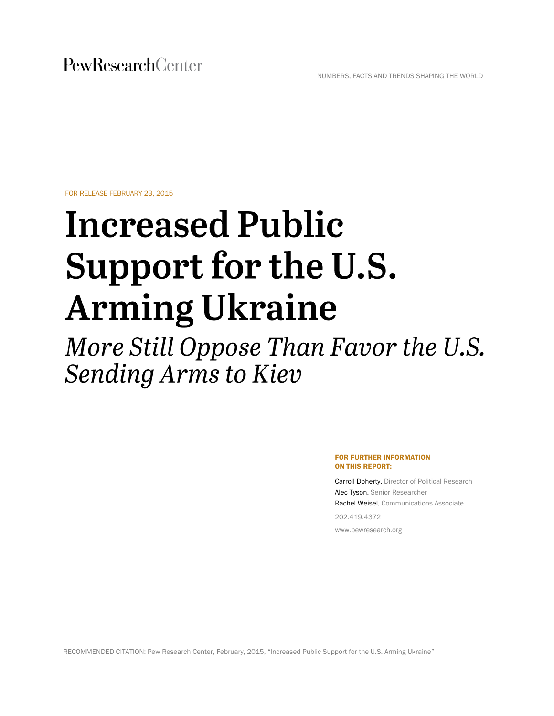FOR RELEASE FEBRUARY 23, 2015

# **Increased Public** Support for the U.S. **Arming Ukraine**

More Still Oppose Than Favor the U.S. **Sending Arms to Kiev** 

#### FOR FURTHER INFORMATION ON THIS REPORT:

Carroll Doherty, Director of Political Research Alec Tyson, Senior Researcher Rachel Weisel, Communications Associate 202.419.4372

www.pewresearch.org

RECOMMENDED CITATION: Pew Research Center, February, 2015, "Increased Public Support for the U.S. Arming Ukraine"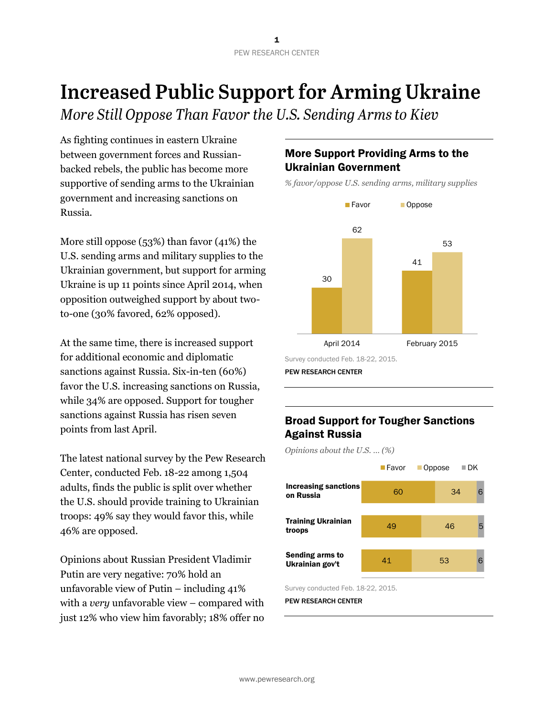## **Increased Public Support for Arming Ukraine**

More Still Oppose Than Favor the U.S. Sending Arms to Kiev

As fighting continues in eastern Ukraine between government forces and Russianbacked rebels, the public has become more supportive of sending arms to the Ukrainian government and increasing sanctions on Russia.

More still oppose (53%) than favor (41%) the U.S. sending arms and military supplies to the Ukrainian government, but support for arming Ukraine is up 11 points since April 2014, when opposition outweighed support by about twoto-one (30% favored, 62% opposed).

At the same time, there is increased support for additional economic and diplomatic sanctions against Russia. Six-in-ten (60%) favor the U.S. increasing sanctions on Russia, while 34% are opposed. Support for tougher sanctions against Russia has risen seven points from last April.

The latest national survey by the Pew Research Center, conducted Feb. 18-22 among 1,504 adults, finds the public is split over whether the U.S. should provide training to Ukrainian troops: 49% say they would favor this, while 46% are opposed.

Opinions about Russian President Vladimir Putin are very negative: 70% hold an unfavorable view of Putin – including 41% with a *very* unfavorable view – compared with just 12% who view him favorably; 18% offer no

## More Support Providing Arms to the Ukrainian Government

*% favor/oppose U.S. sending arms, military supplies* 



### Broad Support for Tougher Sanctions Against Russia

41 49 60 53 46 34 6 5 6 ■Favor **Oppose** DK Increasing sanctions on Russia Sending arms to Ukrainian gov't Training Ukrainian troops *Opinions about the U.S. … (%)*

Survey conducted Feb. 18-22, 2015.

PEW RESEARCH CENTER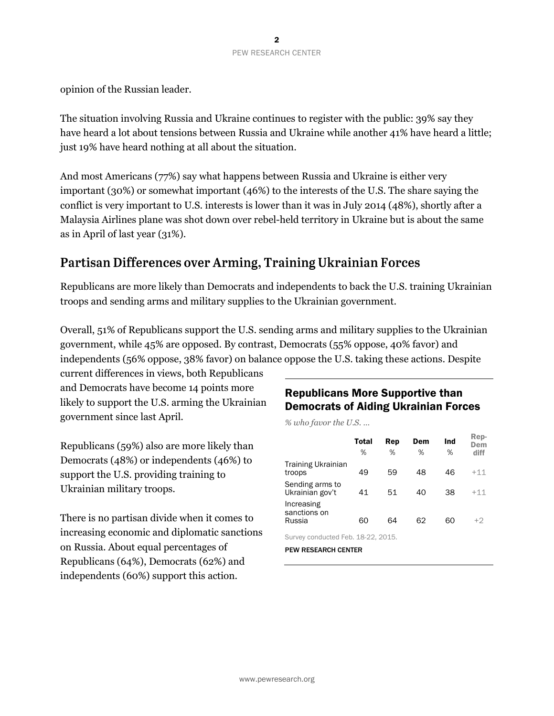opinion of the Russian leader.

The situation involving Russia and Ukraine continues to register with the public: 39% say they have heard a lot about tensions between Russia and Ukraine while another 41% have heard a little; just 19% have heard nothing at all about the situation.

And most Americans (77%) say what happens between Russia and Ukraine is either very important (30%) or somewhat important (46%) to the interests of the U.S. The share saying the conflict is very important to U.S. interests is lower than it was in July 2014 (48%), shortly after a Malaysia Airlines plane was shot down over rebel-held territory in Ukraine but is about the same as in April of last year (31%).

## Partisan Differences over Arming, Training Ukrainian Forces

Republicans are more likely than Democrats and independents to back the U.S. training Ukrainian troops and sending arms and military supplies to the Ukrainian government.

Overall, 51% of Republicans support the U.S. sending arms and military supplies to the Ukrainian government, while 45% are opposed. By contrast, Democrats (55% oppose, 40% favor) and independents (56% oppose, 38% favor) on balance oppose the U.S. taking these actions. Despite

current differences in views, both Republicans and Democrats have become 14 points more likely to support the U.S. arming the Ukrainian government since last April.

Republicans (59%) also are more likely than Democrats (48%) or independents (46%) to support the U.S. providing training to Ukrainian military troops.

There is no partisan divide when it comes to increasing economic and diplomatic sanctions on Russia. About equal percentages of Republicans (64%), Democrats (62%) and independents (60%) support this action.

## Republicans More Supportive than Democrats of Aiding Ukrainian Forces

*% who favor the U.S. …*

|                                      | Total<br>% | Rep<br>% | Dem<br>% | Ind<br>% | Rep-<br>Dem<br>diff |
|--------------------------------------|------------|----------|----------|----------|---------------------|
| <b>Training Ukrainian</b><br>troops  | 49         | 59       | 48       | 46       | $+11$               |
| Sending arms to<br>Ukrainian gov't   | 41         | 51       | 40       | 38       | $+11$               |
| Increasing<br>sanctions on<br>Russia | 60         | 64       | 62       | 60       | +2                  |
|                                      |            |          |          |          |                     |

Survey conducted Feb. 18-22, 2015.

PEW RESEARCH CENTER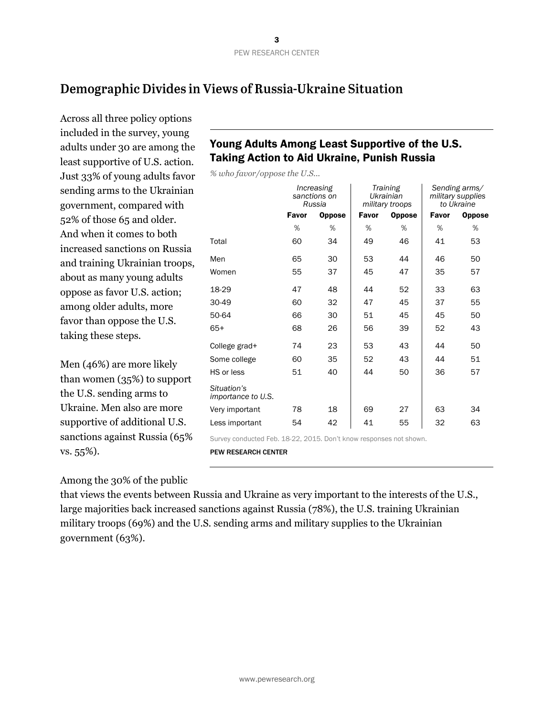## Demographic Divides in Views of Russia-Ukraine Situation

Across all three policy options included in the survey, young adults under 30 are among the least supportive of U.S. action. Just 33% of young adults favor sending arms to the Ukrainian government, compared with 52% of those 65 and older. And when it comes to both increased sanctions on Russia and training Ukrainian troops, about as many young adults oppose as favor U.S. action; among older adults, more favor than oppose the U.S. taking these steps.

Men (46%) are more likely than women (35%) to support the U.S. sending arms to Ukraine. Men also are more supportive of additional U.S. sanctions against Russia (65% vs. 55%).

## Young Adults Among Least Supportive of the U.S. Taking Action to Aid Ukraine, Punish Russia

*% who favor/oppose the U.S...*

|                                          | Increasing<br>sanctions on<br>Russia |               | Training<br>Ukrainian<br>military troops |               | Sending arms/<br>military supplies<br>to Ukraine |               |
|------------------------------------------|--------------------------------------|---------------|------------------------------------------|---------------|--------------------------------------------------|---------------|
|                                          | Favor                                | <b>Oppose</b> | Favor                                    | <b>Oppose</b> |                                                  | <b>Oppose</b> |
|                                          | %                                    | %             | %                                        | %             | %                                                | %             |
| Total                                    | 60                                   | 34            | 49                                       | 46            | 41                                               | 53            |
| Men                                      | 65                                   | 30            | 53                                       | 44            | 46                                               | 50            |
| Women                                    | 55                                   | 37            | 45                                       | 47            | 35                                               | 57            |
| 18-29                                    | 47                                   | 48            | 44                                       | 52            | 33                                               | 63            |
| 30-49                                    | 60                                   | 32            | 47                                       | 45            | 37                                               | 55            |
| 50-64                                    | 66                                   | 30            | 51                                       | 45            | 45                                               | 50            |
| $65+$                                    | 68                                   | 26            | 56                                       | 39            | 52                                               | 43            |
| College grad+                            | 74                                   | 23            | 53                                       | 43            | 44                                               | 50            |
| Some college                             | 60                                   | 35            | 52                                       | 43            | 44                                               | 51            |
| HS or less                               | 51                                   | 40            | 44                                       | 50            | 36                                               | 57            |
| Situation's<br><i>importance to U.S.</i> |                                      |               |                                          |               |                                                  |               |
| Very important                           | 78                                   | 18            | 69                                       | 27            | 63                                               | 34            |
| Less important                           | 54                                   | 42            | 41                                       | 55            | 32                                               | 63            |

Survey conducted Feb. 18-22, 2015. Don't know responses not shown.

PEW RESEARCH CENTER

Among the 30% of the public

that views the events between Russia and Ukraine as very important to the interests of the U.S., large majorities back increased sanctions against Russia (78%), the U.S. training Ukrainian military troops (69%) and the U.S. sending arms and military supplies to the Ukrainian government (63%).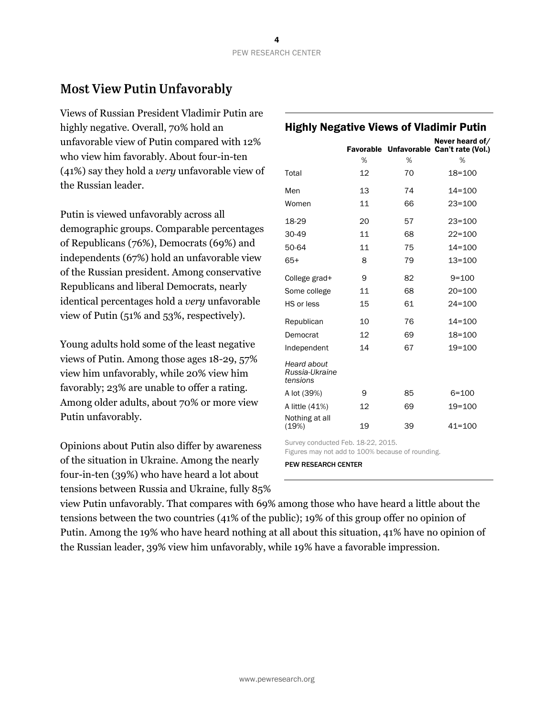## **Most View Putin Unfavorably**

Views of Russian President Vladimir Putin are highly negative. Overall, 70% hold an unfavorable view of Putin compared with 12% who view him favorably. About four-in-ten (41%) say they hold a *very* unfavorable view of the Russian leader.

Putin is viewed unfavorably across all demographic groups. Comparable percentages of Republicans (76%), Democrats (69%) and independents (67%) hold an unfavorable view of the Russian president. Among conservative Republicans and liberal Democrats, nearly identical percentages hold a *very* unfavorable view of Putin (51% and 53%, respectively).

Young adults hold some of the least negative views of Putin. Among those ages 18-29, 57% view him unfavorably, while 20% view him favorably; 23% are unable to offer a rating. Among older adults, about 70% or more view Putin unfavorably.

Opinions about Putin also differ by awareness of the situation in Ukraine. Among the nearly four-in-ten (39%) who have heard a lot about tensions between Russia and Ukraine, fully 85%

## Highly Negative Views of Vladimir Putin

|                                           | %  | %  | Never heard of/<br>Favorable Unfavorable Can't rate (Vol.)<br>% |
|-------------------------------------------|----|----|-----------------------------------------------------------------|
| Total                                     | 12 | 70 | 18=100                                                          |
| Men                                       | 13 | 74 | $14 = 100$                                                      |
| Women                                     | 11 | 66 | $23 = 100$                                                      |
| 18-29                                     | 20 | 57 | $23 = 100$                                                      |
| 30-49                                     | 11 | 68 | $22 = 100$                                                      |
| 50-64                                     | 11 | 75 | 14=100                                                          |
| $65+$                                     | 8  | 79 | 13=100                                                          |
| College grad+                             | 9  | 82 | $9 = 100$                                                       |
| Some college                              | 11 | 68 | $20 = 100$                                                      |
| HS or less                                | 15 | 61 | $24 = 100$                                                      |
| Republican                                | 10 | 76 | $14 = 100$                                                      |
| Democrat                                  | 12 | 69 | 18=100                                                          |
| Independent                               | 14 | 67 | 19=100                                                          |
| Heard about<br>Russia-Ukraine<br>tensions |    |    |                                                                 |
| A lot (39%)                               | 9  | 85 | $6 = 100$                                                       |
| A little (41%)                            | 12 | 69 | 19=100                                                          |
| Nothing at all<br>(19%)                   | 19 | 39 | $41 = 100$                                                      |

Survey conducted Feb. 18-22, 2015. Figures may not add to 100% because of rounding.

PEW RESEARCH CENTER

view Putin unfavorably. That compares with 69% among those who have heard a little about the tensions between the two countries (41% of the public); 19% of this group offer no opinion of Putin. Among the 19% who have heard nothing at all about this situation, 41% have no opinion of the Russian leader, 39% view him unfavorably, while 19% have a favorable impression.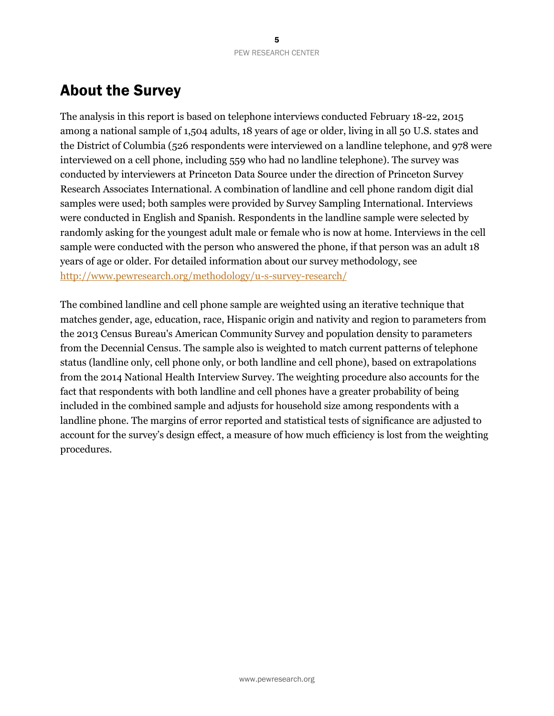## About the Survey

The analysis in this report is based on telephone interviews conducted February 18-22, 2015 among a national sample of 1,504 adults, 18 years of age or older, living in all 50 U.S. states and the District of Columbia (526 respondents were interviewed on a landline telephone, and 978 were interviewed on a cell phone, including 559 who had no landline telephone). The survey was conducted by interviewers at Princeton Data Source under the direction of Princeton Survey Research Associates International. A combination of landline and cell phone random digit dial samples were used; both samples were provided by Survey Sampling International. Interviews were conducted in English and Spanish. Respondents in the landline sample were selected by randomly asking for the youngest adult male or female who is now at home. Interviews in the cell sample were conducted with the person who answered the phone, if that person was an adult 18 years of age or older. For detailed information about our survey methodology, see <http://www.pewresearch.org/methodology/u-s-survey-research/>

The combined landline and cell phone sample are weighted using an iterative technique that matches gender, age, education, race, Hispanic origin and nativity and region to parameters from the 2013 Census Bureau's American Community Survey and population density to parameters from the Decennial Census. The sample also is weighted to match current patterns of telephone status (landline only, cell phone only, or both landline and cell phone), based on extrapolations from the 2014 National Health Interview Survey. The weighting procedure also accounts for the fact that respondents with both landline and cell phones have a greater probability of being included in the combined sample and adjusts for household size among respondents with a landline phone. The margins of error reported and statistical tests of significance are adjusted to account for the survey's design effect, a measure of how much efficiency is lost from the weighting procedures.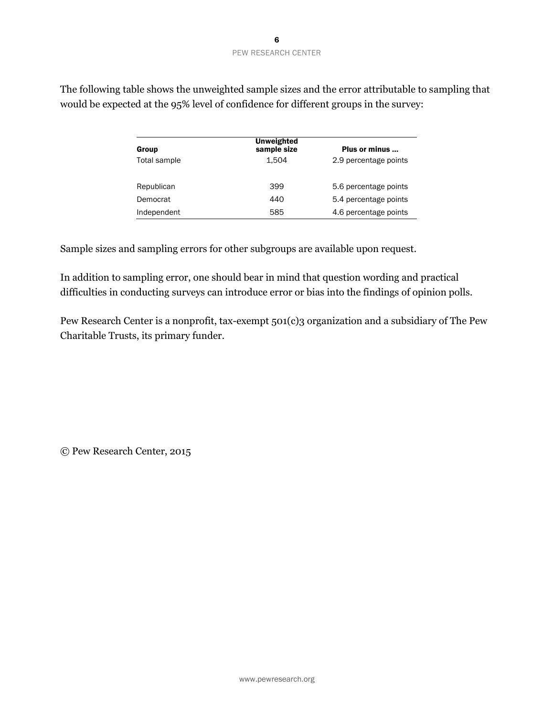| Group        | <b>Unweighted</b><br>sample size | Plus or minus         |
|--------------|----------------------------------|-----------------------|
| Total sample | 1.504                            | 2.9 percentage points |
| Republican   | 399                              | 5.6 percentage points |
| Democrat     | 440                              | 5.4 percentage points |
| Independent  | 585                              | 4.6 percentage points |

The following table shows the unweighted sample sizes and the error attributable to sampling that would be expected at the 95% level of confidence for different groups in the survey:

Sample sizes and sampling errors for other subgroups are available upon request.

In addition to sampling error, one should bear in mind that question wording and practical difficulties in conducting surveys can introduce error or bias into the findings of opinion polls.

Pew Research Center is a nonprofit, tax-exempt 501(c)3 organization and a subsidiary of The Pew Charitable Trusts, its primary funder.

© Pew Research Center, 2015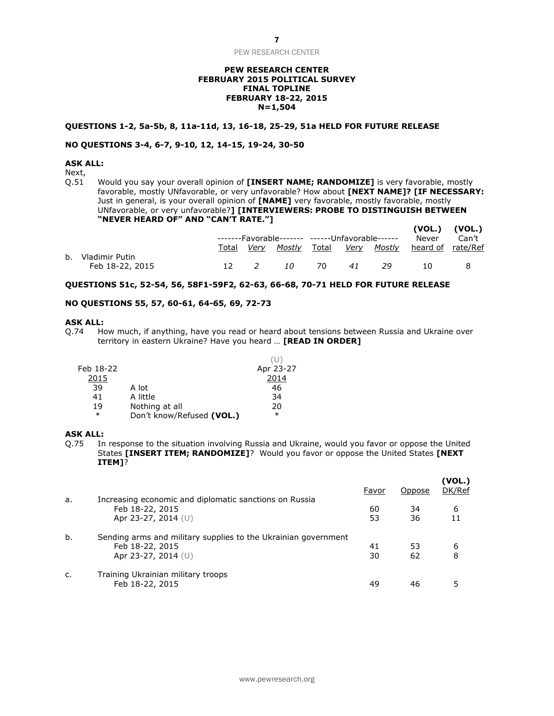#### **PEW RESEARCH CENTER FEBRUARY 2015 POLITICAL SURVEY FINAL TOPLINE FEBRUARY 18-22, 2015 N=1,504**

#### **QUESTIONS 1-2, 5a-5b, 8, 11a-11d, 13, 16-18, 25-29, 51a HELD FOR FUTURE RELEASE**

#### **NO QUESTIONS 3-4, 6-7, 9-10, 12, 14-15, 19-24, 30-50**

#### **ASK ALL:**

Next,<br>Q.51 Would you say your overall opinion of **[INSERT NAME; RANDOMIZE]** is very favorable, mostly favorable, mostly UNfavorable, or very unfavorable? How about **[NEXT NAME]? [IF NECESSARY:**  Just in general, is your overall opinion of **[NAME]** very favorable, mostly favorable, mostly UNfavorable, or very unfavorable?**] [INTERVIEWERS: PROBE TO DISTINGUISH BETWEEN "NEVER HEARD OF" AND "CAN'T RATE."] (VOL.) (VOL.)**

|                   |       |                                                 |    |      |    |     |                                                        | (VUL.) (VUL.) |
|-------------------|-------|-------------------------------------------------|----|------|----|-----|--------------------------------------------------------|---------------|
|                   |       | -------Favorable------- ------Unfavorable------ |    |      |    |     |                                                        | Can't         |
|                   | Total |                                                 |    |      |    |     | <u>Very Mostly Total Very Mostly heard-of rate/Ref</u> |               |
| b. Vladimir Putin |       |                                                 |    |      |    |     |                                                        |               |
| Feb 18-22, 2015   |       |                                                 | 10 | - 70 | 41 | -29 | 10.                                                    |               |

#### **QUESTIONS 51c, 52-54, 56, 58F1-59F2, 62-63, 66-68, 70-71 HELD FOR FUTURE RELEASE**

#### **NO QUESTIONS 55, 57, 60-61, 64-65, 69, 72-73**

#### **ASK ALL:**

Q.74 How much, if anything, have you read or heard about tensions between Russia and Ukraine over territory in eastern Ukraine? Have you heard … **[READ IN ORDER]**

 $(1)$ 

| Feb 18-22 |                           | Apr 23-27 |
|-----------|---------------------------|-----------|
| 2015      |                           | 2014      |
| 39        | A lot                     | 46        |
| 41        | A little                  | 34        |
| 19        | Nothing at all            | 20        |
| $\ast$    | Don't know/Refused (VOL.) | $\ast$    |
|           |                           |           |

#### **ASK ALL:**

Q.75 In response to the situation involving Russia and Ukraine, would you favor or oppose the United States **[INSERT ITEM; RANDOMIZE]**? Would you favor or oppose the United States **[NEXT ITEM]**?

|    |                                                                | Favor | Oppose | (VOL.)<br>DK/Ref |
|----|----------------------------------------------------------------|-------|--------|------------------|
| a. | Increasing economic and diplomatic sanctions on Russia         |       |        |                  |
|    | Feb 18-22, 2015                                                | 60    | 34     | 6                |
|    | Apr 23-27, 2014 (U)                                            | 53    | 36     |                  |
| b. | Sending arms and military supplies to the Ukrainian government |       |        |                  |
|    | Feb 18-22, 2015                                                | 41    | 53     | 6                |
|    | Apr 23-27, 2014 (U)                                            | 30    | 62     | 8                |
| c. | Training Ukrainian military troops                             |       |        |                  |
|    | Feb 18-22, 2015                                                | 49    | 46     |                  |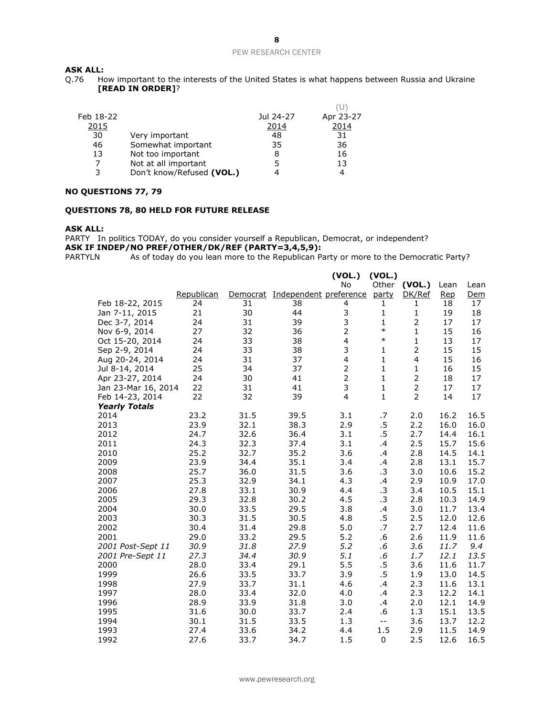## **ASK ALL:**<br>Q.76 Ho

How important to the interests of the United States is what happens between Russia and Ukraine **[READ IN ORDER]**?

| Feb 18-22 |                           | Jul 24-27 | Apr 23-27 |
|-----------|---------------------------|-----------|-----------|
| 2015      |                           | 2014      | 2014      |
| 30        | Very important            | 48        | 31        |
| 46        | Somewhat important        | 35        | 36        |
| 13        | Not too important         | 8         | 16        |
|           | Not at all important      | 5         | 13        |
| 3         | Don't know/Refused (VOL.) | 4         | 4         |
|           |                           |           |           |

#### **NO QUESTIONS 77, 79**

#### **QUESTIONS 78, 80 HELD FOR FUTURE RELEASE**

#### **ASK ALL:**

PARTY In politics TODAY, do you consider yourself a Republican, Democrat, or independent? **ASK IF INDEP/NO PREF/OTHER/DK/REF (PARTY=3,4,5,9):**

PARTYLN As of today do you lean more to the Republican Party or more to the Democratic Party?

|                      |            |          |                        | (VOL.)         | (VOL.)       |                |            |            |
|----------------------|------------|----------|------------------------|----------------|--------------|----------------|------------|------------|
|                      |            |          |                        | No             | Other        | (VOL.)         | Lean       | Lean       |
|                      | Republican | Democrat | Independent preference |                | party        | DK/Ref         | <u>Rep</u> | <u>Dem</u> |
| Feb 18-22, 2015      | 24         | 31       | 38                     | 4              | 1            | 1              | 18         | 17         |
| Jan 7-11, 2015       | 21         | 30       | 44                     | 3              | 1            | 1              | 19         | 18         |
| Dec 3-7, 2014        | 24         | 31       | 39                     | 3              | $\mathbf{1}$ | 2              | 17         | 17         |
| Nov 6-9, 2014        | 27         | 32       | 36                     | $\overline{2}$ | $\ast$       | 1              | 15         | 16         |
| Oct 15-20, 2014      | 24         | 33       | 38                     | $\overline{4}$ | $\ast$       | 1              | 13         | 17         |
| Sep 2-9, 2014        | 24         | 33       | 38                     | 3              | 1            | $\overline{2}$ | 15         | 15         |
| Aug 20-24, 2014      | 24         | 31       | 37                     | 4              | $\mathbf{1}$ | $\overline{4}$ | 15         | 16         |
| Jul 8-14, 2014       | 25         | 34       | 37                     | $\overline{2}$ | $\mathbf{1}$ | 1              | 16         | 15         |
| Apr 23-27, 2014      | 24         | 30       | 41                     | $\overline{c}$ | $\mathbf{1}$ | 2              | 18         | 17         |
| Jan 23-Mar 16, 2014  | 22         | 31       | 41                     | 3              | $\mathbf{1}$ | $\overline{2}$ | 17         | 17         |
| Feb 14-23, 2014      | 22         | 32       | 39                     | $\overline{4}$ | $\mathbf{1}$ | $\overline{2}$ | 14         | 17         |
| <b>Yearly Totals</b> |            |          |                        |                |              |                |            |            |
| 2014                 | 23.2       | 31.5     | 39.5                   | 3.1            | .7           | 2.0            | 16.2       | 16.5       |
| 2013                 | 23.9       | 32.1     | 38.3                   | 2.9            | $.5\,$       | 2.2            | 16.0       | 16.0       |
| 2012                 | 24.7       | 32.6     | 36.4                   | 3.1            | .5           | 2.7            | 14.4       | 16.1       |
| 2011                 | 24.3       | 32.3     | 37.4                   | 3.1            | .4           | 2.5            | 15.7       | 15.6       |
| 2010                 | 25.2       | 32.7     | 35.2                   | 3.6            | .4           | 2.8            | 14.5       | 14.1       |
| 2009                 | 23.9       | 34.4     | 35.1                   | 3.4            | .4           | 2.8            | 13.1       | 15.7       |
| 2008                 | 25.7       | 36.0     | 31.5                   | 3.6            | .3           | 3.0            | 10.6       | 15.2       |
| 2007                 | 25.3       | 32.9     | 34.1                   | 4.3            | .4           | 2.9            | 10.9       | 17.0       |
| 2006                 | 27.8       | 33.1     | 30.9                   | 4.4            | $\cdot$ 3    | 3.4            | 10.5       | 15.1       |
| 2005                 | 29.3       | 32.8     | 30.2                   | 4.5            | $\cdot$ 3    | 2.8            | 10.3       | 14.9       |
| 2004                 | 30.0       | 33.5     | 29.5                   | 3.8            | .4           | 3.0            | 11.7       | 13.4       |
| 2003                 | 30.3       | 31.5     | 30.5                   | 4.8            | .5           | 2.5            | 12.0       | 12.6       |
| 2002                 | 30.4       | 31.4     | 29.8                   | 5.0            | .7           | 2.7            | 12.4       | 11.6       |
| 2001                 | 29.0       | 33.2     | 29.5                   | 5.2            | .6           | 2.6            | 11.9       | 11.6       |
| 2001 Post-Sept 11    | 30.9       | 31.8     | 27.9                   | 5.2            | .6           | 3.6            | 11.7       | 9.4        |
| 2001 Pre-Sept 11     | 27.3       | 34.4     | 30.9                   | 5.1            | .6           | 1.7            | 12.1       | 13.5       |
| 2000                 | 28.0       | 33.4     | 29.1                   | 5.5            | $.5\,$       | 3.6            | 11.6       | 11.7       |
| 1999                 | 26.6       | 33.5     | 33.7                   | 3.9            | .5           | 1.9            | 13.0       | 14.5       |
| 1998                 | 27.9       | 33.7     | 31.1                   | 4.6            | .4           | 2.3            | 11.6       | 13.1       |
| 1997                 | 28.0       | 33.4     | 32.0                   | 4.0            | .4           | 2.3            | 12.2       | 14.1       |
| 1996                 | 28.9       | 33.9     | 31.8                   | 3.0            | .4           | 2.0            | 12.1       | 14.9       |
| 1995                 | 31.6       | 30.0     | 33.7                   | 2.4            | .6           | 1.3            | 15.1       | 13.5       |
| 1994                 | 30.1       | 31.5     | 33.5                   | 1.3            | $-$          | 3.6            | 13.7       | 12.2       |
| 1993                 | 27.4       | 33.6     | 34.2                   | 4.4            | 1.5          | 2.9            | 11.5       | 14.9       |
| 1992                 | 27.6       | 33.7     | 34.7                   | 1.5            | $\mathbf 0$  | 2.5            | 12.6       | 16.5       |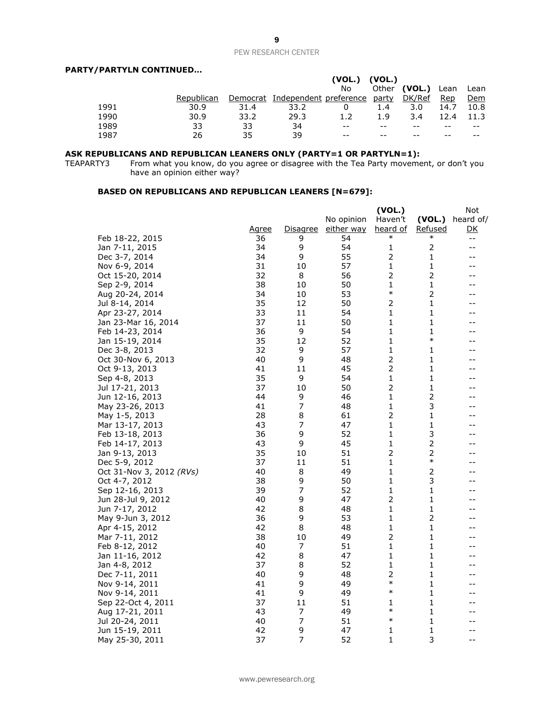#### **PARTY/PARTYLN CONTINUED…**

|      |            |      |                                       | (VOL.) | (VOL.) |                  |      |            |
|------|------------|------|---------------------------------------|--------|--------|------------------|------|------------|
|      |            |      |                                       | No     | Other  | (VOL.) Lean Lean |      |            |
|      | Republican |      | Democrat Independent preference party |        |        | DK/Ref           | Rep  | <u>Dem</u> |
| 1991 | 30.9       | 31.4 | 33.2                                  |        | 1.4    | 3.0              | 14.7 | 10.8       |
| 1990 | 30.9       | 33.2 | 29.3                                  | 1.2    | 1.9    | 3.4              | 12.4 | 11.3       |
| 1989 | 33         | 33   | 34                                    | $- -$  |        |                  | --   | $- -$      |
| 1987 | 26         | 35   | 39                                    | $- -$  |        |                  |      |            |

#### **ASK REPUBLICANS AND REPUBLICAN LEANERS ONLY (PARTY=1 OR PARTYLN=1):**

TEAPARTY3 From what you know, do you agree or disagree with the Tea Party movement, or don't you have an opinion either way?

#### **BASED ON REPUBLICANS AND REPUBLICAN LEANERS [N=679]:**

|                          |              |                 |                   | (VOL.)         |                | Not               |
|--------------------------|--------------|-----------------|-------------------|----------------|----------------|-------------------|
|                          |              |                 | No opinion        | Haven't        | (VOL.)         | heard of/         |
|                          | <u>Agree</u> | <u>Disagree</u> | <u>either way</u> | heard of       | Refused        | <u>DК</u>         |
| Feb 18-22, 2015          | 36           | 9               | 54                | $\ast$         | $\ast$         | --                |
| Jan 7-11, 2015           | 34           | 9               | 54                | 1              | $\overline{2}$ | $\qquad \qquad -$ |
| Dec 3-7, 2014            | 34           | 9               | 55                | $\overline{2}$ | 1              | --                |
| Nov 6-9, 2014            | 31           | 10              | 57                | 1              | 1              | --                |
| Oct 15-20, 2014          | 32           | 8               | 56                | 2              | 2              | --                |
| Sep 2-9, 2014            | 38           | 10              | 50                | 1              | 1              | --                |
| Aug 20-24, 2014          | 34           | 10              | 53                | $\ast$         | $\overline{2}$ | --                |
| Jul 8-14, 2014           | 35           | 12              | 50                | 2              | 1              | --                |
| Apr 23-27, 2014          | 33           | 11              | 54                | 1              | 1              | --                |
| Jan 23-Mar 16, 2014      | 37           | 11              | 50                | 1              | 1              | --                |
| Feb 14-23, 2014          | 36           | 9               | 54                | 1              | 1              | --                |
| Jan 15-19, 2014          | 35           | 12              | 52                | 1              | $\ast$         | --                |
| Dec 3-8, 2013            | 32           | 9               | 57                | 1              | 1              | --                |
| Oct 30-Nov 6, 2013       | 40           | 9               | 48                | $\overline{2}$ | 1              | --                |
| Oct 9-13, 2013           | 41           | 11              | 45                | 2              | 1              | --                |
| Sep 4-8, 2013            | 35           | 9               | 54                | 1              | 1              |                   |
| Jul 17-21, 2013          | 37           | 10              | 50                | $\overline{2}$ | $\mathbf 1$    | --                |
| Jun 12-16, 2013          | 44           | 9               | 46                | 1              | $\overline{2}$ | --                |
| May 23-26, 2013          | 41           | 7               | 48                | 1              | 3              | --                |
| May 1-5, 2013            | 28           | 8               | 61                | 2              | 1              | --                |
| Mar 13-17, 2013          | 43           | 7               | 47                | 1              | 1              | --                |
| Feb 13-18, 2013          | 36           | 9               | 52                | 1              | 3              | --                |
| Feb 14-17, 2013          | 43           | 9               | 45                | 1              | 2              | --                |
| Jan 9-13, 2013           | 35           | 10              | 51                | 2              | 2              | --                |
| Dec 5-9, 2012            | 37           | 11              | 51                | 1              | $\ast$         | --                |
| Oct 31-Nov 3, 2012 (RVs) | 40           | 8               | 49                | 1              | 2              | --                |
| Oct 4-7, 2012            | 38           | 9               | 50                | 1              | 3              | --                |
| Sep 12-16, 2013          | 39           | 7               | 52                | 1              | 1              | --                |
| Jun 28-Jul 9, 2012       | 40           | 9               | 47                | $\overline{2}$ | 1              | --                |
| Jun 7-17, 2012           | 42           | 8               | 48                | 1              | 1              | --                |
| May 9-Jun 3, 2012        | 36           | 9               | 53                | 1              | 2              | --                |
| Apr 4-15, 2012           | 42           | 8               | 48                | 1              | 1              | --                |
| Mar 7-11, 2012           | 38           | 10              | 49                | 2              | 1              | --                |
| Feb 8-12, 2012           | 40           | 7               | 51                | 1              | 1              | --                |
| Jan 11-16, 2012          | 42           | 8               | 47                | 1              | 1              | --                |
| Jan 4-8, 2012            | 37           | 8               | 52                | 1              | 1              | --                |
| Dec 7-11, 2011           | 40           | 9               | 48                | 2              | 1              | --                |
| Nov 9-14, 2011           | 41           | 9               | 49                | $\ast$         | 1              | --                |
| Nov 9-14, 2011           | 41           | 9               | 49                | $\ast$         | 1              | --                |
| Sep 22-Oct 4, 2011       | 37           | 11              | 51                | 1              | 1              | --                |
| Aug 17-21, 2011          | 43           | 7               | 49                | $\ast$         | $\mathbf 1$    | --                |
| Jul 20-24, 2011          | 40           | $\overline{7}$  | 51                | $\ast$         | 1              | --                |
| Jun 15-19, 2011          | 42           | 9               | 47                | 1              | 1              | --                |
| May 25-30, 2011          | 37           | 7               | 52                | $\mathbf{1}$   | 3              | $-$               |